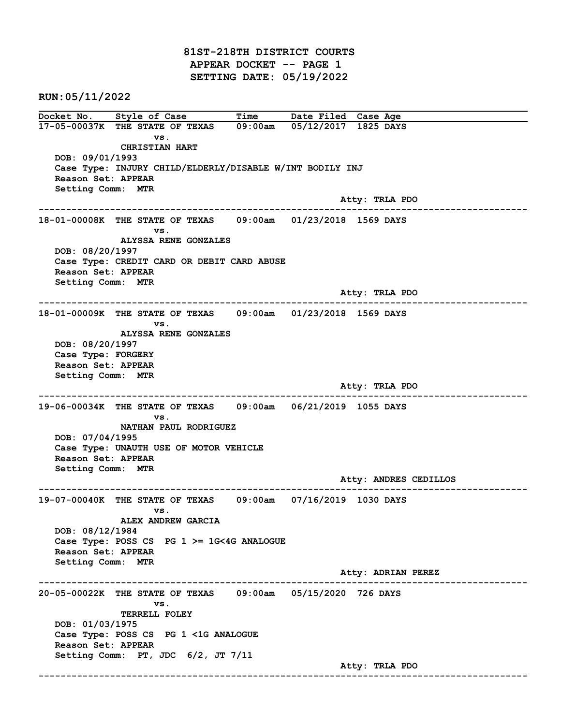81ST-218TH DISTRICT COURTS APPEAR DOCKET -- PAGE 1 SETTING DATE: 05/19/2022

RUN:05/11/2022

Docket No. Style of Case Time Date Filed Case Age 17-05-00037K THE STATE OF TEXAS 09:00am 05/12/2017 1825 DAYS vs. CHRISTIAN HART DOB: 09/01/1993 Case Type: INJURY CHILD/ELDERLY/DISABLE W/INT BODILY INJ Reason Set: APPEAR Setting Comm: MTR Atty: TRLA PDO ------------------------------------------------------------------------------------------------------------------------ 18-01-00008K THE STATE OF TEXAS 09:00am 01/23/2018 1569 DAYS vs. ALYSSA RENE GONZALES DOB: 08/20/1997 Case Type: CREDIT CARD OR DEBIT CARD ABUSE Reason Set: APPEAR Setting Comm: MTR Atty: TRLA PDO ------------------------------------------------------------------------------------------------------------------------ 18-01-00009K THE STATE OF TEXAS 09:00am 01/23/2018 1569 DAYS vs. ALYSSA RENE GONZALES DOB: 08/20/1997 Case Type: FORGERY Reason Set: APPEAR Setting Comm: MTR Atty: TRLA PDO ------------------------------------------------------------------------------------------------------------------------ 19-06-00034K THE STATE OF TEXAS 09:00am 06/21/2019 1055 DAYS vs. NATHAN PAUL RODRIGUEZ DOB: 07/04/1995 Case Type: UNAUTH USE OF MOTOR VEHICLE Reason Set: APPEAR Setting Comm: MTR Atty: ANDRES CEDILLOS ------------------------------------------------------------------------------------------------------------------------ 19-07-00040K THE STATE OF TEXAS 09:00am 07/16/2019 1030 DAYS vs. ALEX ANDREW GARCIA DOB: 08/12/1984 Case Type: POSS CS PG 1 >= 1G<4G ANALOGUE Reason Set: APPEAR Setting Comm: MTR Atty: ADRIAN PEREZ ------------------------------------------------------------------------------------------------------------------------ 20-05-00022K THE STATE OF TEXAS 09:00am 05/15/2020 726 DAYS vs. TERRELL FOLEY DOB: 01/03/1975 Case Type: POSS CS PG 1 <1G ANALOGUE Reason Set: APPEAR Setting Comm: PT, JDC 6/2, JT 7/11 Atty: TRLA PDO ------------------------------------------------------------------------------------------------------------------------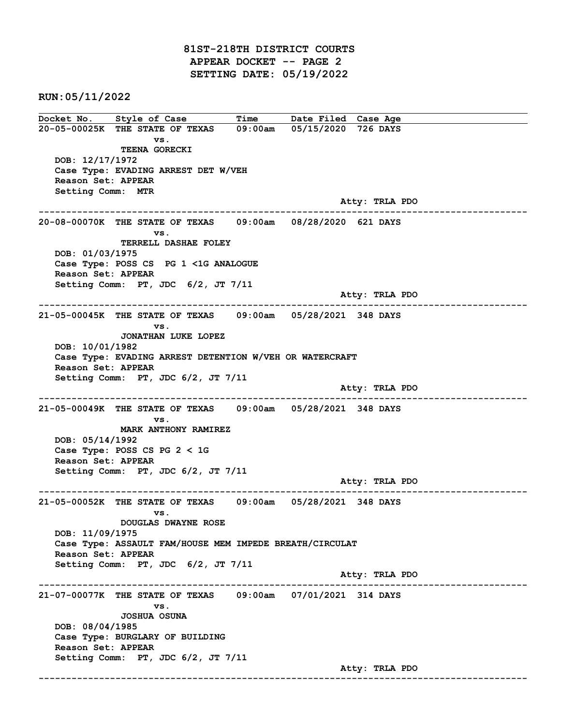81ST-218TH DISTRICT COURTS APPEAR DOCKET -- PAGE 2 SETTING DATE: 05/19/2022

RUN:05/11/2022

Docket No. Style of Case Time Date Filed Case Age 20-05-00025K THE STATE OF TEXAS 09:00am 05/15/2020 726 DAYS vs. TEENA GORECKI DOB: 12/17/1972 Case Type: EVADING ARREST DET W/VEH Reason Set: APPEAR Setting Comm: MTR Atty: TRLA PDO ------------------------------------------------------------------------------------------------------------------------ 20-08-00070K THE STATE OF TEXAS 09:00am 08/28/2020 621 DAYS vs. TERRELL DASHAE FOLEY DOB: 01/03/1975 Case Type: POSS CS PG 1 <1G ANALOGUE Reason Set: APPEAR Setting Comm: PT, JDC 6/2, JT 7/11 Atty: TRLA PDO ------------------------------------------------------------------------------------------------------------------------ 21-05-00045K THE STATE OF TEXAS 09:00am 05/28/2021 348 DAYS vs. JONATHAN LUKE LOPEZ DOB: 10/01/1982 Case Type: EVADING ARREST DETENTION W/VEH OR WATERCRAFT Reason Set: APPEAR Setting Comm: PT, JDC 6/2, JT 7/11 Atty: TRLA PDO ------------------------------------------------------------------------------------------------------------------------ 21-05-00049K THE STATE OF TEXAS 09:00am 05/28/2021 348 DAYS vs. MARK ANTHONY RAMIREZ DOB: 05/14/1992 Case Type: POSS CS PG 2 < 1G Reason Set: APPEAR Setting Comm: PT, JDC 6/2, JT 7/11 Atty: TRLA PDO ------------------------------------------------------------------------------------------------------------------------ 21-05-00052K THE STATE OF TEXAS 09:00am 05/28/2021 348 DAYS vs. DOUGLAS DWAYNE ROSE DOB: 11/09/1975 Case Type: ASSAULT FAM/HOUSE MEM IMPEDE BREATH/CIRCULAT Reason Set: APPEAR Setting Comm: PT, JDC 6/2, JT 7/11 Atty: TRLA PDO ------------------------------------------------------------------------------------------------------------------------ 21-07-00077K THE STATE OF TEXAS 09:00am 07/01/2021 314 DAYS vs. JOSHUA OSUNA DOB: 08/04/1985 Case Type: BURGLARY OF BUILDING Reason Set: APPEAR Setting Comm: PT, JDC 6/2, JT 7/11 Atty: TRLA PDO ------------------------------------------------------------------------------------------------------------------------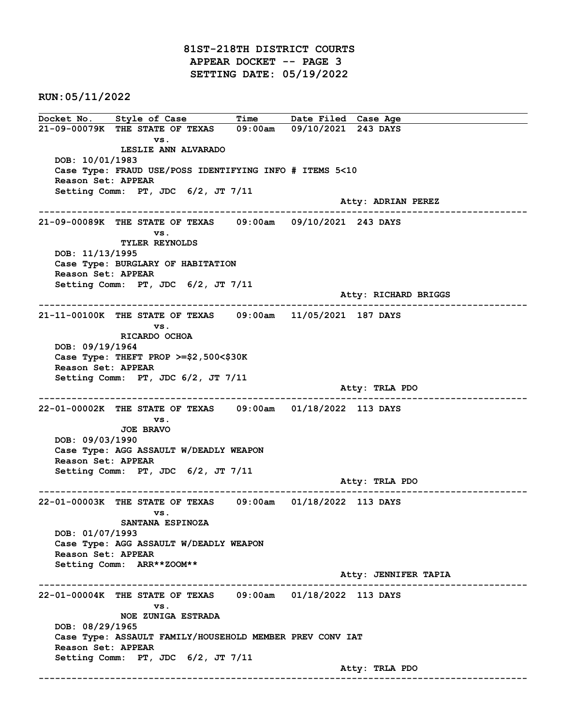81ST-218TH DISTRICT COURTS APPEAR DOCKET -- PAGE 3 SETTING DATE: 05/19/2022

RUN:05/11/2022

Docket No. Style of Case Time Date Filed Case Age 21-09-00079K THE STATE OF TEXAS 09:00am 09/10/2021 243 DAYS vs. LESLIE ANN ALVARADO DOB: 10/01/1983 Case Type: FRAUD USE/POSS IDENTIFYING INFO # ITEMS 5<10 Reason Set: APPEAR Setting Comm: PT, JDC 6/2, JT 7/11 Atty: ADRIAN PEREZ ------------------------------------------------------------------------------------------------------------------------ 21-09-00089K THE STATE OF TEXAS 09:00am 09/10/2021 243 DAYS vs. TYLER REYNOLDS DOB: 11/13/1995 Case Type: BURGLARY OF HABITATION Reason Set: APPEAR Setting Comm: PT, JDC 6/2, JT 7/11 Atty: RICHARD BRIGGS ------------------------------------------------------------------------------------------------------------------------ 21-11-00100K THE STATE OF TEXAS 09:00am 11/05/2021 187 DAYS vs. RICARDO OCHOA DOB: 09/19/1964 Case Type: THEFT PROP >=\$2,500<\$30K Reason Set: APPEAR Setting Comm: PT, JDC 6/2, JT 7/11 Atty: TRLA PDO ------------------------------------------------------------------------------------------------------------------------ 22-01-00002K THE STATE OF TEXAS 09:00am 01/18/2022 113 DAYS vs. JOE BRAVO DOB: 09/03/1990 Case Type: AGG ASSAULT W/DEADLY WEAPON Reason Set: APPEAR Setting Comm: PT, JDC 6/2, JT 7/11 Atty: TRLA PDO ------------------------------------------------------------------------------------------------------------------------ 22-01-00003K THE STATE OF TEXAS 09:00am 01/18/2022 113 DAYS vs. SANTANA ESPINOZA DOB: 01/07/1993 Case Type: AGG ASSAULT W/DEADLY WEAPON Reason Set: APPEAR Setting Comm: ARR\*\*ZOOM\*\* Atty: JENNIFER TAPIA ------------------------------------------------------------------------------------------------------------------------ 22-01-00004K THE STATE OF TEXAS 09:00am 01/18/2022 113 DAYS vs. NOE ZUNIGA ESTRADA DOB: 08/29/1965 Case Type: ASSAULT FAMILY/HOUSEHOLD MEMBER PREV CONV IAT Reason Set: APPEAR Setting Comm: PT, JDC 6/2, JT 7/11 Atty: TRLA PDO ------------------------------------------------------------------------------------------------------------------------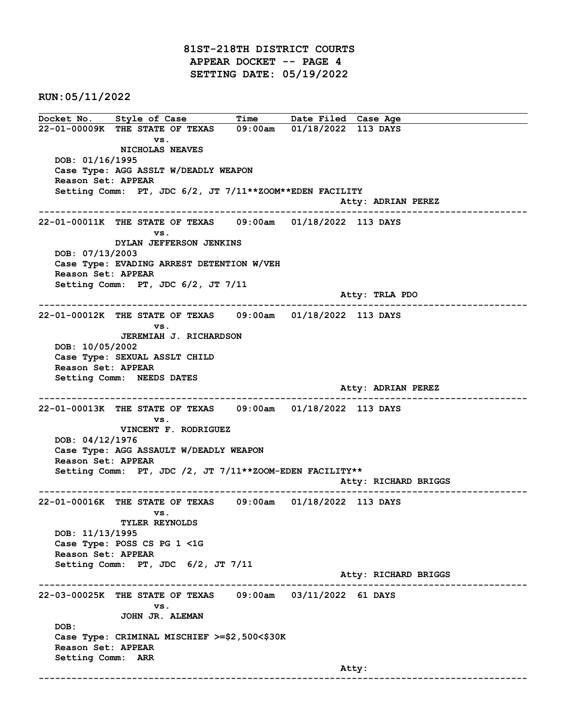81ST-218TH DISTRICT COURTS APPEAR DOCKET -- PAGE 4 SETTING DATE: 05/19/2022

RUN:05/11/2022

Docket No. Style of Case Time Date Filed Case Age 22-01-00009K THE STATE OF TEXAS 09:00am 01/18/2022 113 DAYS vs. NICHOLAS NEAVES DOB: 01/16/1995 Case Type: AGG ASSLT W/DEADLY WEAPON Reason Set: APPEAR Setting Comm: PT, JDC 6/2, JT 7/11\*\*ZOOM\*\*EDEN FACILITY Atty: ADRIAN PEREZ ------------------------------------------------------------------------------------------------------------------------ 22-01-00011K THE STATE OF TEXAS 09:00am 01/18/2022 113 DAYS vs. DYLAN JEFFERSON JENKINS DOB: 07/13/2003 Case Type: EVADING ARREST DETENTION W/VEH Reason Set: APPEAR Setting Comm: PT, JDC 6/2, JT 7/11 Atty: TRLA PDO ------------------------------------------------------------------------------------------------------------------------ 22-01-00012K THE STATE OF TEXAS 09:00am 01/18/2022 113 DAYS vs. JEREMIAH J. RICHARDSON DOB: 10/05/2002 Case Type: SEXUAL ASSLT CHILD Reason Set: APPEAR Setting Comm: NEEDS DATES Atty: ADRIAN PEREZ ------------------------------------------------------------------------------------------------------------------------ 22-01-00013K THE STATE OF TEXAS 09:00am 01/18/2022 113 DAYS vs. VINCENT F. RODRIGUEZ DOB: 04/12/1976 Case Type: AGG ASSAULT W/DEADLY WEAPON Reason Set: APPEAR Setting Comm: PT, JDC /2, JT 7/11\*\*ZOOM-EDEN FACILITY\*\* Atty: RICHARD BRIGGS ------------------------------------------------------------------------------------------------------------------------ 22-01-00016K THE STATE OF TEXAS 09:00am 01/18/2022 113 DAYS vs. TYLER REYNOLDS DOB: 11/13/1995 Case Type: POSS CS PG 1 <1G Reason Set: APPEAR Setting Comm: PT, JDC 6/2, JT 7/11 Atty: RICHARD BRIGGS ------------------------------------------------------------------------------------------------------------------------ 22-03-00025K THE STATE OF TEXAS 09:00am 03/11/2022 61 DAYS vs. JOHN JR. ALEMAN DOB: Case Type: CRIMINAL MISCHIEF >=\$2,500<\$30K Reason Set: APPEAR Setting Comm: ARR and the control of the control of the control of the control of the control of the control of the control of the control of the control of the control of the control of the control of the control of the control of the cont ------------------------------------------------------------------------------------------------------------------------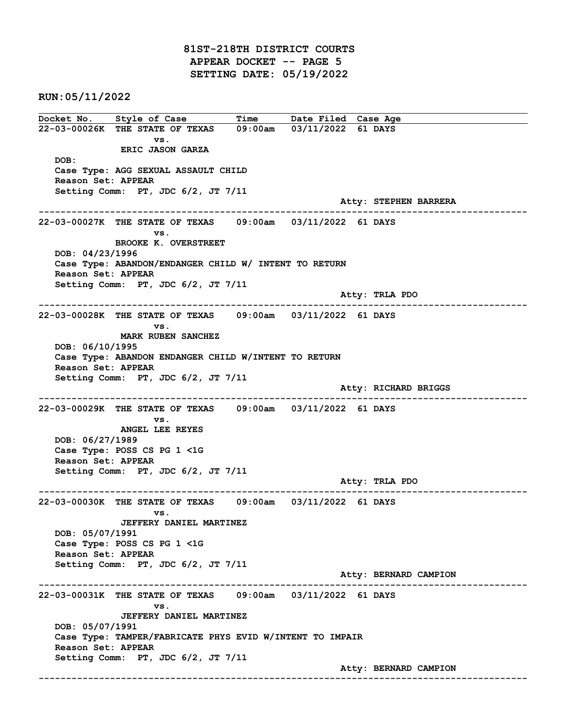81ST-218TH DISTRICT COURTS APPEAR DOCKET -- PAGE 5 SETTING DATE: 05/19/2022

RUN:05/11/2022

Docket No. Style of Case Time Date Filed Case Age 22-03-00026K THE STATE OF TEXAS 09:00am 03/11/2022 61 DAYS vs. ERIC JASON GARZA DOB: Case Type: AGG SEXUAL ASSAULT CHILD Reason Set: APPEAR Setting Comm: PT, JDC 6/2, JT 7/11 Atty: STEPHEN BARRERA ------------------------------------------------------------------------------------------------------------------------ 22-03-00027K THE STATE OF TEXAS 09:00am 03/11/2022 61 DAYS vs. BROOKE K. OVERSTREET DOB: 04/23/1996 Case Type: ABANDON/ENDANGER CHILD W/ INTENT TO RETURN Reason Set: APPEAR Setting Comm: PT, JDC 6/2, JT 7/11 Atty: TRLA PDO ------------------------------------------------------------------------------------------------------------------------ 22-03-00028K THE STATE OF TEXAS 09:00am 03/11/2022 61 DAYS vs. MARK RUBEN SANCHEZ DOB: 06/10/1995 Case Type: ABANDON ENDANGER CHILD W/INTENT TO RETURN Reason Set: APPEAR Setting Comm: PT, JDC 6/2, JT 7/11 Atty: RICHARD BRIGGS ------------------------------------------------------------------------------------------------------------------------ 22-03-00029K THE STATE OF TEXAS 09:00am 03/11/2022 61 DAYS vs. ANGEL LEE REYES DOB: 06/27/1989 Case Type: POSS CS PG 1 <1G Reason Set: APPEAR Setting Comm: PT, JDC 6/2, JT 7/11 Atty: TRLA PDO ------------------------------------------------------------------------------------------------------------------------ 22-03-00030K THE STATE OF TEXAS 09:00am 03/11/2022 61 DAYS vs. JEFFERY DANIEL MARTINEZ DOB: 05/07/1991 Case Type: POSS CS PG 1 <1G Reason Set: APPEAR Setting Comm: PT, JDC 6/2, JT 7/11 Atty: BERNARD CAMPION ------------------------------------------------------------------------------------------------------------------------ 22-03-00031K THE STATE OF TEXAS 09:00am 03/11/2022 61 DAYS vs. JEFFERY DANIEL MARTINEZ DOB: 05/07/1991 Case Type: TAMPER/FABRICATE PHYS EVID W/INTENT TO IMPAIR Reason Set: APPEAR Setting Comm: PT, JDC 6/2, JT 7/11 Atty: BERNARD CAMPION ------------------------------------------------------------------------------------------------------------------------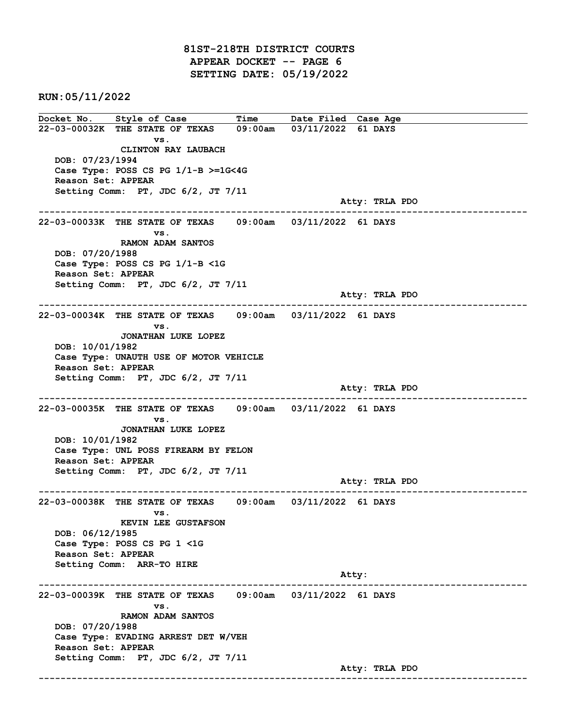81ST-218TH DISTRICT COURTS APPEAR DOCKET -- PAGE 6 SETTING DATE: 05/19/2022

RUN:05/11/2022

Docket No. Style of Case Time Date Filed Case Age 22-03-00032K THE STATE OF TEXAS 09:00am 03/11/2022 61 DAYS vs. CLINTON RAY LAUBACH DOB: 07/23/1994 Case Type: POSS CS PG 1/1-B >=1G<4G Reason Set: APPEAR Setting Comm: PT, JDC 6/2, JT 7/11 Atty: TRLA PDO ------------------------------------------------------------------------------------------------------------------------ 22-03-00033K THE STATE OF TEXAS 09:00am 03/11/2022 61 DAYS vs. RAMON ADAM SANTOS DOB: 07/20/1988 Case Type: POSS CS PG 1/1-B <1G Reason Set: APPEAR Setting Comm: PT, JDC 6/2, JT 7/11 Atty: TRLA PDO ------------------------------------------------------------------------------------------------------------------------ 22-03-00034K THE STATE OF TEXAS 09:00am 03/11/2022 61 DAYS vs. JONATHAN LUKE LOPEZ DOB: 10/01/1982 Case Type: UNAUTH USE OF MOTOR VEHICLE Reason Set: APPEAR Setting Comm: PT, JDC 6/2, JT 7/11 Atty: TRLA PDO ------------------------------------------------------------------------------------------------------------------------ 22-03-00035K THE STATE OF TEXAS 09:00am 03/11/2022 61 DAYS vs. JONATHAN LUKE LOPEZ DOB: 10/01/1982 Case Type: UNL POSS FIREARM BY FELON Reason Set: APPEAR Setting Comm: PT, JDC 6/2, JT 7/11 Atty: TRLA PDO ------------------------------------------------------------------------------------------------------------------------ 22-03-00038K THE STATE OF TEXAS 09:00am 03/11/2022 61 DAYS vs. KEVIN LEE GUSTAFSON DOB: 06/12/1985 Case Type: POSS CS PG 1 <1G Reason Set: APPEAR Setting Comm: ARR-TO HIRE Atty: ------------------------------------------------------------------------------------------------------------------------ 22-03-00039K THE STATE OF TEXAS 09:00am 03/11/2022 61 DAYS vs. RAMON ADAM SANTOS DOB: 07/20/1988 Case Type: EVADING ARREST DET W/VEH Reason Set: APPEAR Setting Comm: PT, JDC 6/2, JT 7/11 Atty: TRLA PDO ------------------------------------------------------------------------------------------------------------------------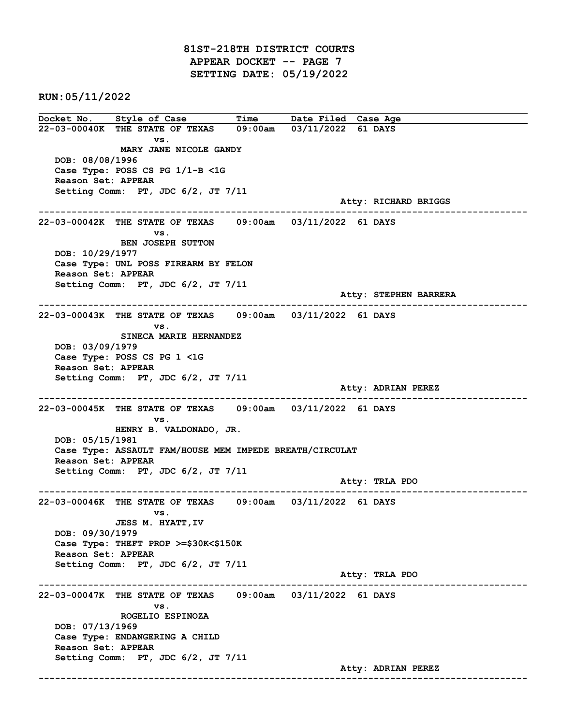81ST-218TH DISTRICT COURTS APPEAR DOCKET -- PAGE 7 SETTING DATE: 05/19/2022

RUN:05/11/2022

Docket No. Style of Case Time Date Filed Case Age 22-03-00040K THE STATE OF TEXAS 09:00am 03/11/2022 61 DAYS vs. MARY JANE NICOLE GANDY DOB: 08/08/1996 Case Type: POSS CS PG 1/1-B <1G Reason Set: APPEAR Setting Comm: PT, JDC 6/2, JT 7/11 Atty: RICHARD BRIGGS ------------------------------------------------------------------------------------------------------------------------ 22-03-00042K THE STATE OF TEXAS 09:00am 03/11/2022 61 DAYS vs. BEN JOSEPH SUTTON DOB: 10/29/1977 Case Type: UNL POSS FIREARM BY FELON Reason Set: APPEAR Setting Comm: PT, JDC 6/2, JT 7/11 Atty: STEPHEN BARRERA ------------------------------------------------------------------------------------------------------------------------ 22-03-00043K THE STATE OF TEXAS 09:00am 03/11/2022 61 DAYS vs. SINECA MARIE HERNANDEZ DOB: 03/09/1979 Case Type: POSS CS PG 1 <1G Reason Set: APPEAR Setting Comm: PT, JDC 6/2, JT 7/11 Atty: ADRIAN PEREZ ------------------------------------------------------------------------------------------------------------------------ 22-03-00045K THE STATE OF TEXAS 09:00am 03/11/2022 61 DAYS vs. HENRY B. VALDONADO, JR. DOB: 05/15/1981 Case Type: ASSAULT FAM/HOUSE MEM IMPEDE BREATH/CIRCULAT Reason Set: APPEAR Setting Comm: PT, JDC 6/2, JT 7/11 Atty: TRLA PDO ------------------------------------------------------------------------------------------------------------------------ 22-03-00046K THE STATE OF TEXAS 09:00am 03/11/2022 61 DAYS vs. JESS M. HYATT,IV DOB: 09/30/1979 Case Type: THEFT PROP >=\$30K<\$150K Reason Set: APPEAR Setting Comm: PT, JDC 6/2, JT 7/11 Atty: TRLA PDO ------------------------------------------------------------------------------------------------------------------------ 22-03-00047K THE STATE OF TEXAS 09:00am 03/11/2022 61 DAYS vs. ROGELIO ESPINOZA DOB: 07/13/1969 Case Type: ENDANGERING A CHILD Reason Set: APPEAR Setting Comm: PT, JDC 6/2, JT 7/11 Atty: ADRIAN PEREZ ------------------------------------------------------------------------------------------------------------------------